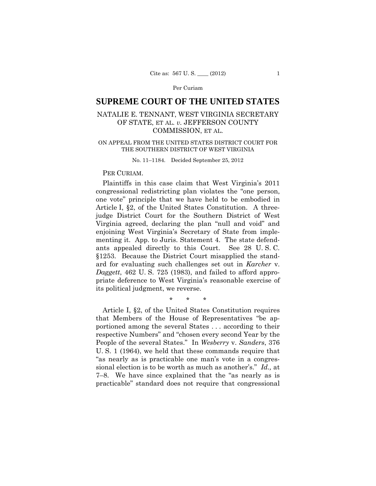# **SUPREME COURT OF THE UNITED STATES**

## NATALIE E. TENNANT, WEST VIRGINIA SECRETARY OF STATE, ET AL. *v.* JEFFERSON COUNTY COMMISSION, ET AL.

## ON APPEAL FROM THE UNITED STATES DISTRICT COURT FOR THE SOUTHERN DISTRICT OF WEST VIRGINIA

No. 11–1184. Decided September 25, 2012

## PER CURIAM.

Plaintiffs in this case claim that West Virginia's 2011 congressional redistricting plan violates the "one person, one vote" principle that we have held to be embodied in Article I, §2, of the United States Constitution. A threejudge District Court for the Southern District of West Virginia agreed, declaring the plan "null and void" and enjoining West Virginia's Secretary of State from implementing it. App. to Juris. Statement 4. The state defendants appealed directly to this Court. See 28 U. S. C. §1253. Because the District Court misapplied the standard for evaluating such challenges set out in *Karcher* v. *Daggett*, 462 U. S. 725 (1983), and failed to afford appropriate deference to West Virginia's reasonable exercise of its political judgment, we reverse.

\* \* \*

Article I, §2, of the United States Constitution requires that Members of the House of Representatives "be apportioned among the several States . . . according to their respective Numbers" and "chosen every second Year by the People of the several States." In *Wesberry* v. *Sanders*, 376 U. S. 1 (1964), we held that these commands require that "as nearly as is practicable one man's vote in a congressional election is to be worth as much as another's." *Id.,* at 7–8. We have since explained that the "as nearly as is practicable" standard does not require that congressional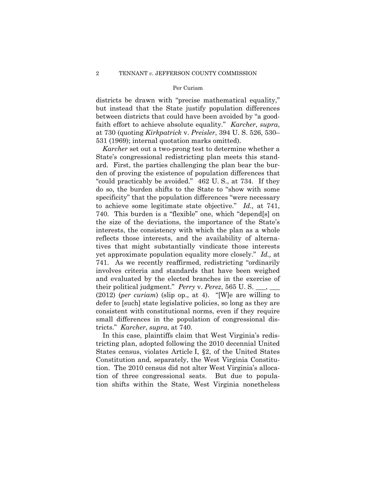districts be drawn with "precise mathematical equality," but instead that the State justify population differences between districts that could have been avoided by "a goodfaith effort to achieve absolute equality." *Karcher*, *supra*, at 730 (quoting *Kirkpatrick* v. *Preisler*, 394 U. S. 526, 530– 531 (1969); internal quotation marks omitted).

*Karcher* set out a two-prong test to determine whether a State's congressional redistricting plan meets this standard. First, the parties challenging the plan bear the burden of proving the existence of population differences that "could practicably be avoided." 462 U. S., at 734. If they do so, the burden shifts to the State to "show with some specificity" that the population differences "were necessary to achieve some legitimate state objective." *Id.,* at 741, 740. This burden is a "flexible" one, which "depend[s] on the size of the deviations, the importance of the State's interests, the consistency with which the plan as a whole reflects those interests, and the availability of alternatives that might substantially vindicate those interests yet approximate population equality more closely." *Id.,* at 741. As we recently reaffirmed, redistricting "ordinarily involves criteria and standards that have been weighed and evaluated by the elected branches in the exercise of their political judgment." *Perry* v. *Perez*, 565 U.S. (2012) (*per curiam*) (slip op., at 4). "[W]e are willing to defer to [such] state legislative policies, so long as they are consistent with constitutional norms, even if they require small differences in the population of congressional districts." *Karcher*, *supra*, at 740.

In this case, plaintiffs claim that West Virginia's redistricting plan, adopted following the 2010 decennial United States census, violates Article I, §2, of the United States Constitution and, separately, the West Virginia Constitution. The 2010 census did not alter West Virginia's allocation of three congressional seats. But due to population shifts within the State, West Virginia nonetheless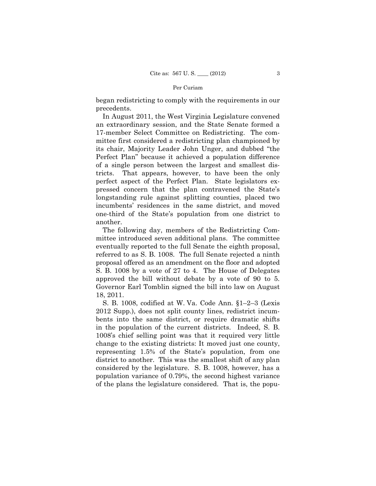began redistricting to comply with the requirements in our precedents.

In August 2011, the West Virginia Legislature convened an extraordinary session, and the State Senate formed a 17-member Select Committee on Redistricting. The committee first considered a redistricting plan championed by its chair, Majority Leader John Unger, and dubbed "the Perfect Plan" because it achieved a population difference of a single person between the largest and smallest districts. That appears, however, to have been the only perfect aspect of the Perfect Plan. State legislators expressed concern that the plan contravened the State's longstanding rule against splitting counties, placed two incumbents' residences in the same district, and moved one-third of the State's population from one district to another.

The following day, members of the Redistricting Committee introduced seven additional plans. The committee eventually reported to the full Senate the eighth proposal, referred to as S. B. 1008. The full Senate rejected a ninth proposal offered as an amendment on the floor and adopted S. B. 1008 by a vote of 27 to 4. The House of Delegates approved the bill without debate by a vote of 90 to 5. Governor Earl Tomblin signed the bill into law on August 18, 2011.

S. B. 1008, codified at W. Va. Code Ann. §1–2–3 (Lexis 2012 Supp.), does not split county lines, redistrict incumbents into the same district, or require dramatic shifts in the population of the current districts. Indeed, S. B. 1008's chief selling point was that it required very little change to the existing districts: It moved just one county, representing 1.5% of the State's population, from one district to another. This was the smallest shift of any plan considered by the legislature. S. B. 1008, however, has a population variance of 0.79%, the second highest variance of the plans the legislature considered. That is, the popu-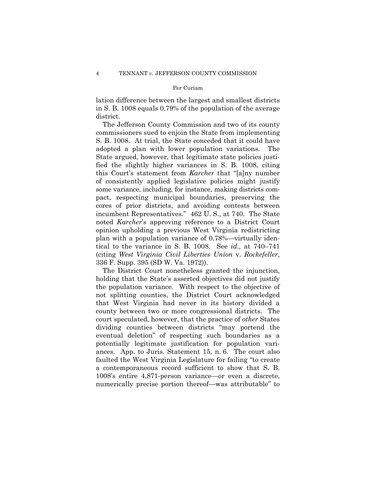lation difference between the largest and smallest districts in S. B. 1008 equals 0.79% of the population of the average district.

The Jefferson County Commission and two of its county commissioners sued to enjoin the State from implementing S. B. 1008. At trial, the State conceded that it could have adopted a plan with lower population variations. The State argued, however, that legitimate state policies justified the slightly higher variances in S. B. 1008, citing this Court's statement from *Karcher* that "[a]ny number of consistently applied legislative policies might justify some variance, including, for instance, making districts compact, respecting municipal boundaries, preserving the cores of prior districts, and avoiding contests between incumbent Representatives." 462 U. S., at 740. The State noted *Karcher*'s approving reference to a District Court opinion upholding a previous West Virginia redistricting plan with a population variance of 0.78%—virtually identical to the variance in S. B. 1008. See *id.,* at 740–741 (citing *West Virginia Civil Liberties Union* v. *Rockefeller*, 336 F. Supp. 395 (SD W. Va. 1972)).

The District Court nonetheless granted the injunction, holding that the State's asserted objectives did not justify the population variance. With respect to the objective of not splitting counties, the District Court acknowledged that West Virginia had never in its history divided a county between two or more congressional districts. The court speculated, however, that the practice of *other* States dividing counties between districts "may portend the eventual deletion" of respecting such boundaries as a potentially legitimate justification for population variances. App. to Juris. Statement 15, n. 6. The court also faulted the West Virginia Legislature for failing "to create a contemporaneous record sufficient to show that S. B. 1008's entire 4,871-person variance—or even a discrete, numerically precise portion thereof—was attributable" to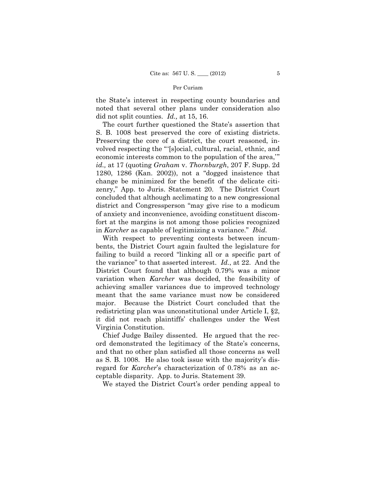the State's interest in respecting county boundaries and noted that several other plans under consideration also did not split counties. *Id.,* at 15, 16.

 S. B. 1008 best preserved the core of existing districts. The court further questioned the State's assertion that Preserving the core of a district, the court reasoned, involved respecting the "'[s]ocial, cultural, racial, ethnic, and economic interests common to the population of the area,'" *id.,* at 17 (quoting *Graham* v. *Thornburgh*, 207 F. Supp. 2d 1280, 1286 (Kan. 2002)), not a "dogged insistence that change be minimized for the benefit of the delicate citizenry," App. to Juris. Statement 20. The District Court concluded that although acclimating to a new congressional district and Congressperson "may give rise to a modicum of anxiety and inconvenience, avoiding constituent discomfort at the margins is not among those policies recognized in *Karcher* as capable of legitimizing a variance." *Ibid.* 

With respect to preventing contests between incumbents, the District Court again faulted the legislature for failing to build a record "linking all or a specific part of the variance" to that asserted interest. *Id.*, at 22. And the District Court found that although 0.79% was a minor variation when *Karcher* was decided, the feasibility of achieving smaller variances due to improved technology meant that the same variance must now be considered major. Because the District Court concluded that the redistricting plan was unconstitutional under Article I, §2, it did not reach plaintiffs' challenges under the West Virginia Constitution.

Chief Judge Bailey dissented. He argued that the record demonstrated the legitimacy of the State's concerns, and that no other plan satisfied all those concerns as well as S. B. 1008. He also took issue with the majority's disregard for *Karcher*'s characterization of 0.78% as an acceptable disparity. App. to Juris. Statement 39.

We stayed the District Court's order pending appeal to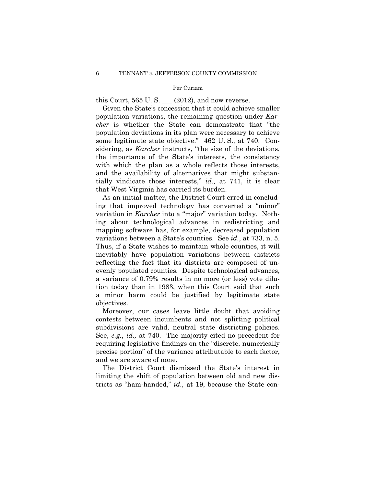this Court,  $565$  U. S.  $\_\_$  (2012), and now reverse.

Given the State's concession that it could achieve smaller population variations, the remaining question under *Karcher* is whether the State can demonstrate that "the population deviations in its plan were necessary to achieve some legitimate state objective." 462 U. S., at 740. Considering, as *Karcher* instructs, "the size of the deviations, the importance of the State's interests, the consistency with which the plan as a whole reflects those interests, and the availability of alternatives that might substantially vindicate those interests," *id.,* at 741, it is clear that West Virginia has carried its burden.

As an initial matter, the District Court erred in concluding that improved technology has converted a "minor" variation in *Karcher* into a "major" variation today. Nothing about technological advances in redistricting and mapping software has, for example, decreased population variations between a State's counties. See *id.*, at 733, n. 5. Thus, if a State wishes to maintain whole counties, it will inevitably have population variations between districts reflecting the fact that its districts are composed of unevenly populated counties. Despite technological advances, a variance of 0.79% results in no more (or less) vote dilution today than in 1983, when this Court said that such a minor harm could be justified by legitimate state objectives.

Moreover, our cases leave little doubt that avoiding contests between incumbents and not splitting political subdivisions are valid, neutral state districting policies. See, *e.g.*, *id.,* at 740. The majority cited no precedent for requiring legislative findings on the "discrete, numerically precise portion" of the variance attributable to each factor, and we are aware of none.

The District Court dismissed the State's interest in limiting the shift of population between old and new districts as "ham-handed," *id.,* at 19, because the State con-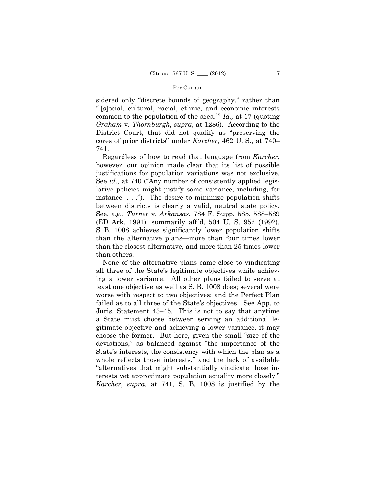sidered only "discrete bounds of geography," rather than "'[s]ocial, cultural, racial, ethnic, and economic interests common to the population of the area.'" *Id.,* at 17 (quoting *Graham* v. *Thornburgh*, *supra*, at 1286). According to the District Court, that did not qualify as "preserving the cores of prior districts" under *Karcher*, 462 U. S., at 740– 741.

Regardless of how to read that language from *Karcher*, however, our opinion made clear that its list of possible justifications for population variations was not exclusive. See *id.*, at 740 ("Any number of consistently applied legislative policies might justify some variance, including, for instance, . . ."). The desire to minimize population shifts between districts is clearly a valid, neutral state policy. See, *e.g.*, *Turner* v. *Arkansas*, 784 F. Supp. 585, 588–589 (ED Ark. 1991), summarily aff 'd, 504 U. S. 952 (1992). S. B. 1008 achieves significantly lower population shifts than the alternative plans—more than four times lower than the closest alternative, and more than 25 times lower than others.

None of the alternative plans came close to vindicating all three of the State's legitimate objectives while achieving a lower variance. All other plans failed to serve at least one objective as well as S. B. 1008 does; several were worse with respect to two objectives; and the Perfect Plan failed as to all three of the State's objectives. See App. to Juris. Statement 43–45. This is not to say that anytime a State must choose between serving an additional legitimate objective and achieving a lower variance, it may choose the former. But here, given the small "size of the deviations," as balanced against "the importance of the State's interests, the consistency with which the plan as a whole reflects those interests," and the lack of available "alternatives that might substantially vindicate those interests yet approximate population equality more closely," *Karcher*, *supra,* at 741, S. B. 1008 is justified by the